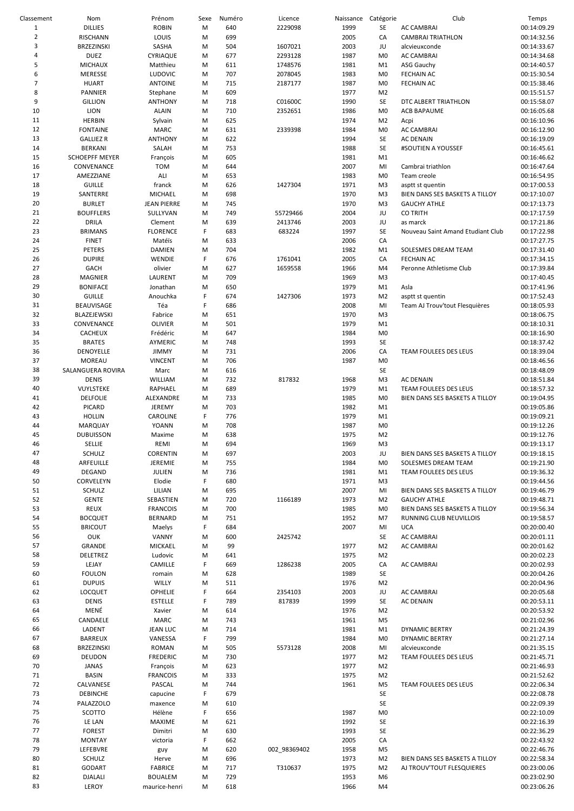| Classement     | Nom                   | Prénom             | Sexe | Numéro | Licence      | Naissance Catégorie |                | Club                              | Temps       |
|----------------|-----------------------|--------------------|------|--------|--------------|---------------------|----------------|-----------------------------------|-------------|
| 1              | <b>DILLIES</b>        | <b>ROBIN</b>       | M    | 640    | 2229098      | 1999                | SE             | <b>AC CAMBRAI</b>                 | 00:14:09.29 |
| $\mathbf 2$    | RISCHANN              | LOUIS              | M    | 699    |              | 2005                | CA             | <b>CAMBRAI TRIATHLON</b>          | 00:14:32.56 |
| 3              | BRZEZINSKI            | SASHA              | M    | 504    | 1607021      | 2003                | JU             | alcvieuxconde                     | 00:14:33.67 |
| 4              | <b>DUEZ</b>           | CYRIAQUE           | M    | 677    | 2293128      | 1987                | M <sub>0</sub> | AC CAMBRAI                        | 00:14:34.68 |
| 5              | <b>MICHAUX</b>        | Matthieu           | M    | 611    | 1748576      | 1981                | M1             | ASG Gauchy                        | 00:14:40.57 |
| 6              | MERESSE               | <b>LUDOVIC</b>     | M    | 707    | 2078045      | 1983                | M <sub>0</sub> | <b>FECHAIN AC</b>                 | 00:15:30.54 |
| $\overline{7}$ | <b>HUART</b>          | <b>ANTOINE</b>     | M    | 715    | 2187177      | 1987                | M <sub>0</sub> | <b>FECHAIN AC</b>                 | 00:15:38.46 |
| 8              | <b>PANNIER</b>        | Stephane           | M    | 609    |              | 1977                | M <sub>2</sub> |                                   | 00:15:51.57 |
| 9              | <b>GILLION</b>        | <b>ANTHONY</b>     | M    | 718    | C01600C      | 1990                | SE             | DTC ALBERT TRIATHLON              | 00:15:58.07 |
| 10             | LION                  | <b>ALAIN</b>       | M    | 710    | 2352651      | 1986                | M <sub>0</sub> | <b>ACB BAPAUME</b>                | 00:16:05.68 |
| 11             | <b>HERBIN</b>         | Sylvain            | M    | 625    |              | 1974                | M <sub>2</sub> | Acpi                              | 00:16:10.96 |
| 12             | <b>FONTAINE</b>       | <b>MARC</b>        | M    | 631    | 2339398      | 1984                | M <sub>0</sub> | <b>AC CAMBRAI</b>                 | 00:16:12.90 |
| 13             | <b>GALLIEZ R</b>      | <b>ANTHONY</b>     | M    | 622    |              | 1994                | SE             | <b>AC DENAIN</b>                  | 00:16:19.09 |
| 14             | <b>BERKANI</b>        | SALAH              | M    | 753    |              | 1988                | SE             | #SOUTIEN A YOUSSEF                | 00:16:45.61 |
| 15             | <b>SCHOEPFF MEYER</b> | François           | M    | 605    |              | 1981                | M1             |                                   | 00:16:46.62 |
| 16             | CONVENANCE            | TOM                | M    | 644    |              | 2007                | MI             | Cambrai triathlon                 | 00:16:47.64 |
|                |                       |                    |      |        |              |                     |                |                                   |             |
| 17             | AMEZZIANE             | ALI                | M    | 653    |              | 1983                | M <sub>0</sub> | Team creole                       | 00:16:54.95 |
| 18             | <b>GUILLE</b>         | franck             | M    | 626    | 1427304      | 1971                | M <sub>3</sub> | asptt st quentin                  | 00:17:00.53 |
| 19             | SANTERRE              | MICHAEL            | M    | 698    |              | 1970                | M <sub>3</sub> | BIEN DANS SES BASKETS A TILLOY    | 00:17:10.07 |
| 20             | <b>BURLET</b>         | <b>JEAN PIERRE</b> | M    | 745    |              | 1970                | M <sub>3</sub> | <b>GAUCHY ATHLE</b>               | 00:17:13.73 |
| 21             | <b>BOUFFLERS</b>      | SULLYVAN           | M    | 749    | 55729466     | 2004                | JU             | <b>CO TRITH</b>                   | 00:17:17.59 |
| 22             | DRILA                 | Clement            | M    | 639    | 2413746      | 2003                | JU             | as marck                          | 00:17:21.86 |
| 23             | <b>BRIMANS</b>        | <b>FLORENCE</b>    | F    | 683    | 683224       | 1997                | SE             | Nouveau Saint Amand Etudiant Club | 00:17:22.98 |
| 24             | <b>FINET</b>          | Matéïs             | M    | 633    |              | 2006                | CA             |                                   | 00:17:27.75 |
| 25             | PETERS                | <b>DAMIEN</b>      | M    | 704    |              | 1982                | M1             | SOLESMES DREAM TEAM               | 00:17:31.40 |
| 26             | <b>DUPIRE</b>         | WENDIE             | F    | 676    | 1761041      | 2005                | CA             | <b>FECHAIN AC</b>                 | 00:17:34.15 |
| 27             | <b>GACH</b>           | olivier            | M    | 627    | 1659558      | 1966                | M4             | Peronne Athletisme Club           | 00:17:39.84 |
| 28             | <b>MAGNIER</b>        | LAURENT            | M    | 709    |              | 1969                | M3             |                                   | 00:17:40.45 |
| 29             | <b>BONIFACE</b>       | Jonathan           | M    | 650    |              | 1979                | M1             | Asla                              | 00:17:41.96 |
| 30             | <b>GUILLE</b>         | Anouchka           | F    | 674    | 1427306      | 1973                | M <sub>2</sub> | asptt st quentin                  | 00:17:52.43 |
| 31             | BEAUVISAGE            | Téa                | F    | 686    |              | 2008                | MI             | Team AJ Trouv'tout Flesquières    | 00:18:05.93 |
| 32             | BLAZEJEWSKI           | Fabrice            | M    | 651    |              | 1970                | M <sub>3</sub> |                                   | 00:18:06.75 |
| 33             | CONVENANCE            | OLIVIER            | M    | 501    |              | 1979                | M1             |                                   | 00:18:10.31 |
| 34             | CACHEUX               | Frédéric           | M    | 647    |              | 1984                | M <sub>0</sub> |                                   | 00:18:16.90 |
|                |                       |                    |      |        |              |                     |                |                                   |             |
| 35             | <b>BRATES</b>         | AYMERIC            | M    | 748    |              | 1993                | SE             |                                   | 00:18:37.42 |
| 36             | DENOYELLE             | <b>JIMMY</b>       | M    | 731    |              | 2006                | CA             | TEAM FOULEES DES LEUS             | 00:18:39.04 |
| 37             | MOREAU                | <b>VINCENT</b>     | M    | 706    |              | 1987                | M <sub>0</sub> |                                   | 00:18:46.56 |
| 38             | SALANGUERA ROVIRA     | Marc               | M    | 616    |              |                     | SE             |                                   | 00:18:48.09 |
| 39             | <b>DENIS</b>          | WILLIAM            | M    | 732    | 817832       | 1968                | M <sub>3</sub> | <b>AC DENAIN</b>                  | 00:18:51.84 |
| 40             | VUYLSTEKE             | RAPHAEL            | M    | 689    |              | 1979                | M1             | TEAM FOULEES DES LEUS             | 00:18:57.32 |
| 41             | <b>DELFOLIE</b>       | ALEXANDRE          | M    | 733    |              | 1985                | M <sub>0</sub> | BIEN DANS SES BASKETS A TILLOY    | 00:19:04.95 |
| 42             | PICARD                | JEREMY             | M    | 703    |              | 1982                | M1             |                                   | 00:19:05.86 |
| 43             | <b>HOLLIN</b>         | CAROLINE           | F    | 776    |              | 1979                | M1             |                                   | 00:19:09.21 |
| 44             | <b>MARQUAY</b>        | <b>YOANN</b>       | M    | 708    |              | 1987                | M <sub>0</sub> |                                   | 00:19:12.26 |
| 45             | <b>DUBUISSON</b>      | Maxime             | M    | 638    |              | 1975                | M <sub>2</sub> |                                   | 00:19:12.76 |
| 46             | SELLIE                | REMI               | M    | 694    |              | 1969                | M <sub>3</sub> |                                   | 00:19:13.17 |
| 47             | SCHULZ                | CORENTIN           | M    | 697    |              | 2003                | JU             | BIEN DANS SES BASKETS A TILLOY    | 00:19:18.15 |
| 48             | ARFEUILLE             | JEREMIE            | M    | 755    |              | 1984                | M <sub>0</sub> | SOLESMES DREAM TEAM               | 00:19:21.90 |
| 49             | <b>DEGAND</b>         | JULIEN             | M    | 736    |              | 1981                | M1             | TEAM FOULEES DES LEUS             | 00:19:36.32 |
| 50             | CORVELEYN             | Elodie             | F    | 680    |              | 1971                | M3             |                                   | 00:19:44.56 |
| 51             | <b>SCHULZ</b>         | LILIAN             | M    | 695    |              | 2007                | MI             | BIEN DANS SES BASKETS A TILLOY    | 00:19:46.79 |
| 52             | <b>GENTE</b>          | SEBASTIEN          | M    | 720    | 1166189      | 1973                | M <sub>2</sub> | <b>GAUCHY ATHLE</b>               | 00:19:48.71 |
| 53             | <b>REUX</b>           | <b>FRANCOIS</b>    | M    | 700    |              | 1985                | M <sub>0</sub> | BIEN DANS SES BASKETS A TILLOY    | 00:19:56.34 |
| 54             | <b>BOCQUET</b>        | <b>BERNARD</b>     | M    | 751    |              | 1952                | M7             | RUNNING CLUB NEUVILLOIS           | 00:19:58.57 |
| 55             |                       |                    | F    |        |              | 2007                |                | <b>UCA</b>                        |             |
|                | <b>BRICOUT</b>        | Maelys             |      | 684    |              |                     | MI             |                                   | 00:20:00.40 |
| 56             | <b>OUK</b>            | VANNY              | M    | 600    | 2425742      |                     | SE             | AC CAMBRAI                        | 00:20:01.11 |
| 57             | GRANDE                | MICKAEL            | M    | 99     |              | 1977                | M <sub>2</sub> | AC CAMBRAI                        | 00:20:01.62 |
| 58             | DELETREZ              | Ludovic            | M    | 641    |              | 1975                | M <sub>2</sub> |                                   | 00:20:02.23 |
| 59             | LEJAY                 | CAMILLE            | F.   | 669    | 1286238      | 2005                | CA             | AC CAMBRAI                        | 00:20:02.93 |
| 60             | <b>FOULON</b>         | romain             | M    | 628    |              | 1989                | SE             |                                   | 00:20:04.26 |
| 61             | <b>DUPUIS</b>         | WILLY              | M    | 511    |              | 1976                | M <sub>2</sub> |                                   | 00:20:04.96 |
| 62             | LOCQUET               | OPHELIE            | F    | 664    | 2354103      | 2003                | JU             | AC CAMBRAI                        | 00:20:05.68 |
| 63             | <b>DENIS</b>          | <b>ESTELLE</b>     | F    | 789    | 817839       | 1999                | SE             | <b>AC DENAIN</b>                  | 00:20:53.11 |
| 64             | MENÉ                  | Xavier             | M    | 614    |              | 1976                | M <sub>2</sub> |                                   | 00:20:53.92 |
| 65             | CANDAELE              | MARC               | M    | 743    |              | 1961                | M <sub>5</sub> |                                   | 00:21:02.96 |
| 66             | LADENT                | <b>JEAN LUC</b>    | M    | 714    |              | 1981                | M1             | <b>DYNAMIC BERTRY</b>             | 00:21:24.39 |
| 67             | <b>BARREUX</b>        | VANESSA            | F    | 799    |              | 1984                | M <sub>0</sub> | <b>DYNAMIC BERTRY</b>             | 00:21:27.14 |
| 68             | BRZEZINSKI            | <b>ROMAN</b>       | M    | 505    | 5573128      | 2008                | MI             | alcvieuxconde                     | 00:21:35.15 |
| 69             | <b>DEUDON</b>         | <b>FREDERIC</b>    | M    | 730    |              | 1977                | M <sub>2</sub> | TEAM FOULEES DES LEUS             | 00:21:45.71 |
| 70             | <b>JANAS</b>          | François           | M    | 623    |              | 1977                | M <sub>2</sub> |                                   | 00:21:46.93 |
| 71             | <b>BASIN</b>          | <b>FRANCOIS</b>    | M    | 333    |              | 1975                | M <sub>2</sub> |                                   | 00:21:52.62 |
| 72             | CALVANESE             | PASCAL             | M    | 744    |              | 1961                | M5             | TEAM FOULEES DES LEUS             | 00:22:06.34 |
| 73             | <b>DEBINCHE</b>       | capucine           | F.   | 679    |              |                     | SE             |                                   | 00:22:08.78 |
| 74             | PALAZZOLO             | maxence            | M    | 610    |              |                     | SE             |                                   | 00:22:09.39 |
| 75             | SCOTTO                | Hélène             | F    | 656    |              | 1987                | M <sub>0</sub> |                                   | 00:22:10.09 |
| 76             | LE LAN                | MAXIME             | M    | 621    |              | 1992                | SE             |                                   | 00:22:16.39 |
| 77             |                       |                    |      |        |              |                     |                |                                   |             |
|                | <b>FOREST</b>         | Dimitri            | M    | 630    |              | 1993                | SE             |                                   | 00:22:36.29 |
| 78             | <b>MONTAY</b>         | victoria           | F    | 662    |              | 2005                | CA             |                                   | 00:22:43.92 |
| 79             | LEFEBVRE              | guy                | M    | 620    | 002 98369402 | 1958                | M <sub>5</sub> |                                   | 00:22:46.76 |
| 80             | <b>SCHULZ</b>         | Herve              | M    | 696    |              | 1973                | M <sub>2</sub> | BIEN DANS SES BASKETS A TILLOY    | 00:22:58.34 |
| 81             | GODART                | <b>FABRICE</b>     | M    | 717    | T310637      | 1975                | M <sub>2</sub> | AJ TROUV'TOUT FLESQUIERES         | 00:23:00.06 |
| 82             | <b>DJALALI</b>        | <b>BOUALEM</b>     | M    | 729    |              | 1953                | M6             |                                   | 00:23:02.90 |
| 83             | LEROY                 | maurice-henri      | M    | 618    |              | 1966                | M4             |                                   | 00:23:06.26 |